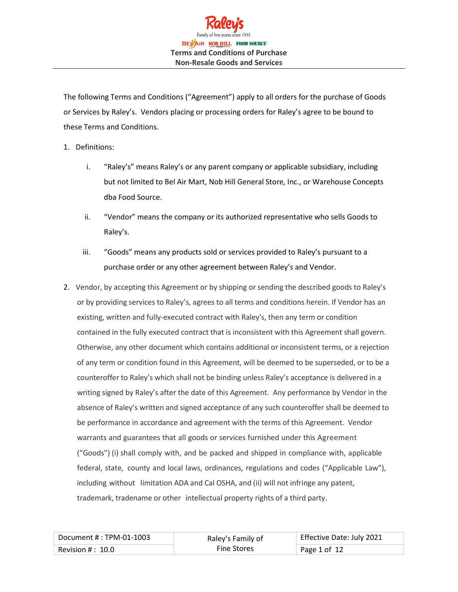

The following Terms and Conditions ("Agreement") apply to all orders for the purchase of Goods or Services by Raley's. Vendors placing or processing orders for Raley's agree to be bound to these Terms and Conditions.

- 1. Definitions:
	- i. "Raley's" means Raley's or any parent company or applicable subsidiary, including but not limited to Bel Air Mart, Nob Hill General Store, Inc., or Warehouse Concepts dba Food Source.
	- ii. "Vendor" means the company or its authorized representative who sells Goods to Raley's.
	- iii. "Goods" means any products sold or services provided to Raley's pursuant to a purchase order or any other agreement between Raley's and Vendor.
- 2. Vendor, by accepting this Agreement or by shipping or sending the described goods to Raley's or by providing services to Raley's, agrees to all terms and conditions herein. If Vendor has an existing, written and fully-executed contract with Raley's, then any term or condition contained in the fully executed contract that is inconsistent with this Agreement shall govern. Otherwise, any other document which contains additional or inconsistent terms, or a rejection of any term or condition found in this Agreement, will be deemed to be superseded, or to be a counteroffer to Raley's which shall not be binding unless Raley's acceptance is delivered in a writing signed by Raley's after the date of this Agreement. Any performance by Vendor in the absence of Raley's written and signed acceptance of any such counteroffer shall be deemed to be performance in accordance and agreement with the terms of this Agreement. Vendor warrants and guarantees that all goods or services furnished under this Agreement ("Goods") (i) shall comply with, and be packed and shipped in compliance with, applicable federal, state, county and local laws, ordinances, regulations and codes ("Applicable Law"), including without limitation ADA and Cal OSHA, and (ii) will not infringe any patent, trademark, tradename or other intellectual property rights of a third party.

| Document # : TPM-01-1003       | Raley's Family of  | Effective Date: July 2021 |
|--------------------------------|--------------------|---------------------------|
| $^{\circ}$ Revision # $:~10.0$ | <b>Fine Stores</b> | Page 1 of 12              |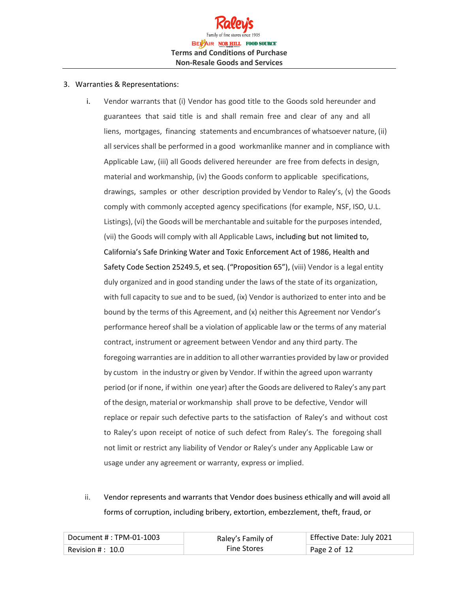

#### 3. Warranties & Representations:

- i. Vendor warrants that (i) Vendor has good title to the Goods sold hereunder and guarantees that said title is and shall remain free and clear of any and all liens, mortgages, financing statements and encumbrances of whatsoever nature, (ii) all services shall be performed in a good workmanlike manner and in compliance with Applicable Law, (iii) all Goods delivered hereunder are free from defects in design, material and workmanship, (iv) the Goods conform to applicable specifications, drawings, samples or other description provided by Vendor to Raley's, (v) the Goods comply with commonly accepted agency specifications (for example, NSF, ISO, U.L. Listings), (vi) the Goods will be merchantable and suitable for the purposes intended, (vii) the Goods will comply with all Applicable Laws, including but not limited to, California's Safe Drinking Water and Toxic Enforcement Act of 1986, Health and Safety Code Section 25249.5, et seq. ("Proposition 65"), (viii) Vendor is a legal entity duly organized and in good standing under the laws of the state of its organization, with full capacity to sue and to be sued, (ix) Vendor is authorized to enter into and be bound by the terms of this Agreement, and (x) neither this Agreement nor Vendor's performance hereof shall be a violation of applicable law or the terms of any material contract, instrument or agreement between Vendor and any third party. The foregoing warranties are in addition to all other warranties provided by law or provided by custom in the industry or given by Vendor. If within the agreed upon warranty period (or if none, if within one year) afterthe Goods are delivered to Raley's any part of the design, material or workmanship shall prove to be defective, Vendor will replace or repair such defective parts to the satisfaction of Raley's and without cost to Raley's upon receipt of notice of such defect from Raley's. The foregoing shall not limit or restrict any liability of Vendor or Raley's under any Applicable Law or usage under any agreement or warranty, express or implied.
- ii. Vendor represents and warrants that Vendor does business ethically and will avoid all forms of corruption, including bribery, extortion, embezzlement, theft, fraud, or

| $^{\circ}$ Document # : TPM-01-1003 $^{\circ}$ | Raley's Family of  | Effective Date: July 2021 |
|------------------------------------------------|--------------------|---------------------------|
| $^{\circ}$ Revision # $:~10.0$                 | <b>Fine Stores</b> | Page 2 of 12              |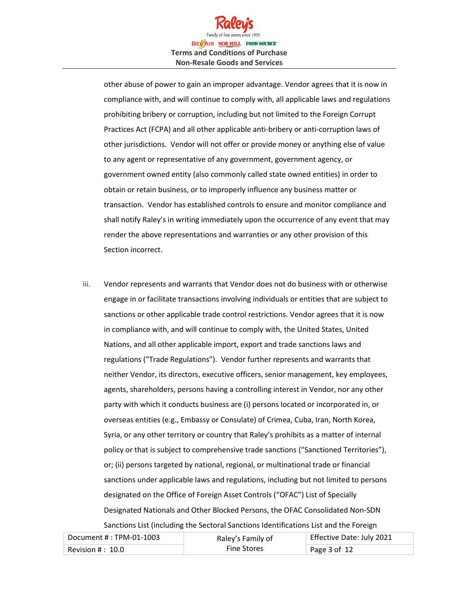

other abuse of power to gain an improper advantage. Vendor agrees that it is now in compliance with, and will continue to comply with, all applicable laws and regulations prohibiting bribery or corruption, including but not limited to the Foreign Corrupt Practices Act (FCPA) and all other applicable anti-bribery or anti-corruption laws of other jurisdictions. Vendor will not offer or provide money or anything else of value to any agent or representative of any government, government agency, or government owned entity (also commonly called state owned entities) in order to obtain or retain business, or to improperly influence any business matter or transaction. Vendor has established controls to ensure and monitor compliance and shall notify Raley's in writing immediately upon the occurrence of any event that may render the above representations and warranties or any other provision of this Section incorrect.

iii. Vendor represents and warrants that Vendor does not do business with or otherwise engage in or facilitate transactions involving individuals or entities that are subject to sanctions or other applicable trade control restrictions. Vendor agrees that it is now in compliance with, and will continue to comply with, the United States, United Nations, and all other applicable import, export and trade sanctions laws and regulations ("Trade Regulations"). Vendor further represents and warrants that neither Vendor, its directors, executive officers, senior management, key employees, agents, shareholders, persons having a controlling interest in Vendor, nor any other party with which it conducts business are (i) persons located or incorporated in, or overseas entities (e.g., Embassy or Consulate) of Crimea, Cuba, Iran, North Korea, Syria, or any other territory or country that Raley's prohibits as a matter of internal policy or that is subject to comprehensive trade sanctions ("Sanctioned Territories"), or; (ii) persons targeted by national, regional, or multinational trade or financial sanctions under applicable laws and regulations, including but not limited to persons designated on the Office of Foreign Asset Controls ("OFAC") List of Specially Designated Nationals and Other Blocked Persons, the OFAC Consolidated Non-SDN Sanctions List (including the Sectoral Sanctions Identifications List and the Foreign

| Document #: TPM-01-1003 | Raley's Family of  | Effective Date: July 2021 |
|-------------------------|--------------------|---------------------------|
| Revision $\#$ : $10.0$  | <b>Fine Stores</b> | Page 3 of $12$            |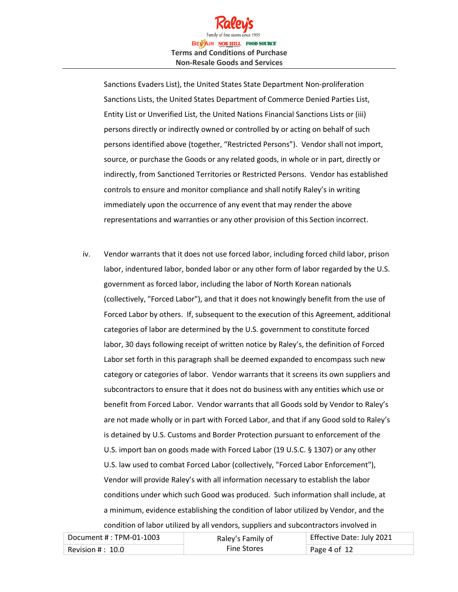

Sanctions Evaders List), the United States State Department Non-proliferation Sanctions Lists, the United States Department of Commerce Denied Parties List, Entity List or Unverified List, the United Nations Financial Sanctions Lists or (iii) persons directly or indirectly owned or controlled by or acting on behalf of such persons identified above (together, "Restricted Persons"). Vendor shall not import, source, or purchase the Goods or any related goods, in whole or in part, directly or indirectly, from Sanctioned Territories or Restricted Persons. Vendor has established controls to ensure and monitor compliance and shall notify Raley's in writing immediately upon the occurrence of any event that may render the above representations and warranties or any other provision of this Section incorrect.

iv. Vendor warrants that it does not use forced labor, including forced child labor, prison labor, indentured labor, bonded labor or any other form of labor regarded by the U.S. government as forced labor, including the labor of North Korean nationals (collectively, "Forced Labor"), and that it does not knowingly benefit from the use of Forced Labor by others. If, subsequent to the execution of this Agreement, additional categories of labor are determined by the U.S. government to constitute forced labor, 30 days following receipt of written notice by Raley's, the definition of Forced Labor set forth in this paragraph shall be deemed expanded to encompass such new category or categories of labor. Vendor warrants that it screens its own suppliers and subcontractors to ensure that it does not do business with any entities which use or benefit from Forced Labor. Vendor warrants that all Goods sold by Vendor to Raley's are not made wholly or in part with Forced Labor, and that if any Good sold to Raley's is detained by U.S. Customs and Border Protection pursuant to enforcement of the U.S. import ban on goods made with Forced Labor (19 U.S.C. § 1307) or any other U.S. law used to combat Forced Labor (collectively, "Forced Labor Enforcement"), Vendor will provide Raley's with all information necessary to establish the labor conditions under which such Good was produced. Such information shall include, at a minimum, evidence establishing the condition of labor utilized by Vendor, and the condition of labor utilized by all vendors, suppliers and subcontractors involved in

| Document #: TPM-01-1003 | Raley's Family of  | Effective Date: July 2021 |
|-------------------------|--------------------|---------------------------|
| Revision $\#$ : $~10.0$ | <b>Fine Stores</b> | Page 4 of $12$            |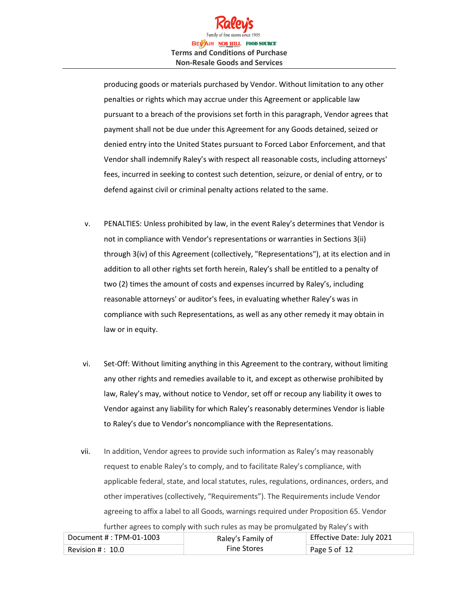

producing goods or materials purchased by Vendor. Without limitation to any other penalties or rights which may accrue under this Agreement or applicable law pursuant to a breach of the provisions set forth in this paragraph, Vendor agrees that payment shall not be due under this Agreement for any Goods detained, seized or denied entry into the United States pursuant to Forced Labor Enforcement, and that Vendor shall indemnify Raley's with respect all reasonable costs, including attorneys' fees, incurred in seeking to contest such detention, seizure, or denial of entry, or to defend against civil or criminal penalty actions related to the same.

- v. PENALTIES: Unless prohibited by law, in the event Raley's determines that Vendor is not in compliance with Vendor's representations or warranties in Sections 3(ii) through 3(iv) of this Agreement (collectively, "Representations"), at its election and in addition to all other rights set forth herein, Raley's shall be entitled to a penalty of two (2) times the amount of costs and expenses incurred by Raley's, including reasonable attorneys' or auditor's fees, in evaluating whether Raley's was in compliance with such Representations, as well as any other remedy it may obtain in law or in equity.
- vi. Set-Off: Without limiting anything in this Agreement to the contrary, without limiting any other rights and remedies available to it, and except as otherwise prohibited by law, Raley's may, without notice to Vendor, set off or recoup any liability it owes to Vendor against any liability for which Raley's reasonably determines Vendor is liable to Raley's due to Vendor's noncompliance with the Representations.
- vii. In addition, Vendor agrees to provide such information as Raley's may reasonably request to enable Raley's to comply, and to facilitate Raley's compliance, with applicable federal, state, and local statutes, rules, regulations, ordinances, orders, and other imperatives (collectively, "Requirements"). The Requirements include Vendor agreeing to affix a label to all Goods, warnings required under Proposition 65. Vendor further agrees to comply with such rules as may be promulgated by Raley's with

| Document #: TPM-01-1003 | Raley's Family of  | Effective Date: July 2021 |
|-------------------------|--------------------|---------------------------|
| Revision # :  10.0      | <b>Fine Stores</b> | Page 5 of 12              |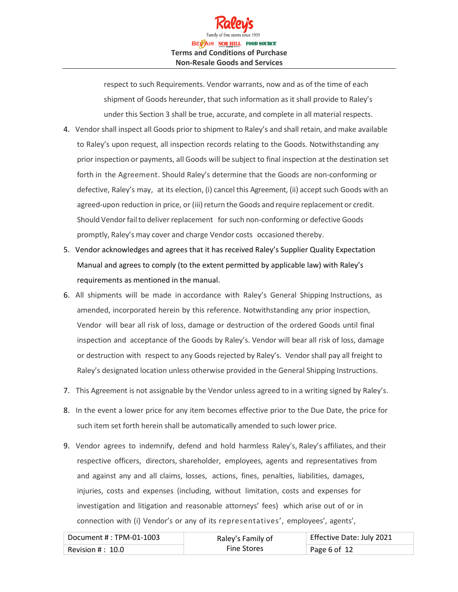

respect to such Requirements. Vendor warrants, now and as of the time of each shipment of Goods hereunder, that such information as it shall provide to Raley's under this Section 3 shall be true, accurate, and complete in all material respects.

- 4. Vendor shall inspect all Goods prior to shipment to Raley's and shall retain, and make available to Raley's upon request, all inspection records relating to the Goods. Notwithstanding any prior inspection or payments, all Goods will be subject to final inspection at the destination set forth in the Agreement. Should Raley's determine that the Goods are non-conforming or defective, Raley's may, at its election, (i) cancel this Agreement, (ii) accept such Goods with an agreed-upon reduction in price, or (iii) return the Goods and require replacement or credit. Should Vendor fail to deliver replacement for such non-conforming or defective Goods promptly, Raley's may cover and charge Vendor costs occasioned thereby.
- 5. Vendor acknowledges and agrees that it has received Raley's Supplier Quality Expectation Manual and agrees to comply (to the extent permitted by applicable law) with Raley's requirements as mentioned in the manual.
- 6. All shipments will be made in accordance with Raley's General Shipping Instructions, as amended, incorporated herein by this reference. Notwithstanding any prior inspection, Vendor will bear all risk of loss, damage or destruction of the ordered Goods until final inspection and acceptance of the Goods by Raley's. Vendor will bear all risk of loss, damage or destruction with respect to any Goods rejected by Raley's. Vendor shall pay all freight to Raley's designated location unless otherwise provided in the General Shipping Instructions.
- 7. This Agreement is not assignable by the Vendor unless agreed to in a writing signed by Raley's.
- 8. In the event a lower price for any item becomes effective prior to the Due Date, the price for such item set forth herein shall be automatically amended to such lower price.
- 9. Vendor agrees to indemnify, defend and hold harmless Raley's, Raley's affiliates, and their respective officers, directors, shareholder, employees, agents and representatives from and against any and all claims, losses, actions, fines, penalties, liabilities, damages, injuries, costs and expenses (including, without limitation, costs and expenses for investigation and litigation and reasonable attorneys' fees) which arise out of or in connection with (i) Vendor's or any of its representatives', employees', agents',

| Document #: TPM-01-1003 | Raley's Family of  | Effective Date: July 2021 |
|-------------------------|--------------------|---------------------------|
| Revision $\#$ : $10.0$  | <b>Fine Stores</b> | Page 6 of 12              |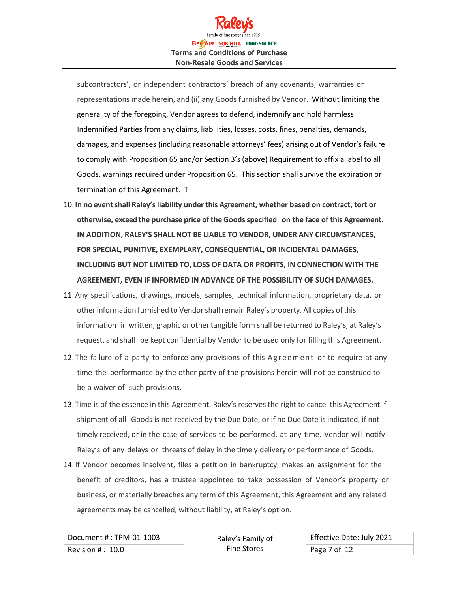# BELAIR NOB HILL FOOD SOURCE **Terms and Conditions of Purchase Non-Resale Goods and Services**

subcontractors', or independent contractors' breach of any covenants, warranties or representations made herein, and (ii) any Goods furnished by Vendor. Without limiting the generality of the foregoing, Vendor agrees to defend, indemnify and hold harmless Indemnified Parties from any claims, liabilities, losses, costs, fines, penalties, demands, damages, and expenses (including reasonable attorneys' fees) arising out of Vendor's failure to comply with Proposition 65 and/or Section 3's (above) Requirement to affix a label to all Goods, warnings required under Proposition 65. This section shall survive the expiration or termination of this Agreement. T

- 10. **In no eventshall Raley'sliability underthis Agreement, whether based on contract, tort or otherwise, exceed the purchase price of the Goodsspecified on the face of this Agreement. IN ADDITION, RALEY'S SHALL NOT BE LIABLE TO VENDOR, UNDER ANY CIRCUMSTANCES, FOR SPECIAL, PUNITIVE, EXEMPLARY, CONSEQUENTIAL, OR INCIDENTAL DAMAGES, INCLUDING BUT NOT LIMITED TO, LOSS OF DATA OR PROFITS, IN CONNECTION WITH THE AGREEMENT, EVEN IF INFORMED IN ADVANCE OF THE POSSIBILITY OF SUCH DAMAGES.**
- 11.Any specifications, drawings, models, samples, technical information, proprietary data, or other information furnished to Vendor shall remain Raley's property. All copies of this information in written, graphic or other tangible form shall be returned to Raley's, at Raley's request, and shall be kept confidential by Vendor to be used only for filling this Agreement.
- 12. The failure of a party to enforce any provisions of this Agreement or to require at any time the performance by the other party of the provisions herein will not be construed to be a waiver of such provisions.
- 13. Time is of the essence in this Agreement. Raley's reserves the right to cancel this Agreement if shipment of all Goods is not received by the Due Date, or if no Due Date is indicated, if not timely received, or in the case of services to be performed, at any time. Vendor will notify Raley's of any delays or threats of delay in the timely delivery or performance of Goods.
- 14. If Vendor becomes insolvent, files a petition in bankruptcy, makes an assignment for the benefit of creditors, has a trustee appointed to take possession of Vendor's property or business, or materially breaches any term of this Agreement, this Agreement and any related agreements may be cancelled, without liability, at Raley's option.

| Document #: TPM-01-1003 | Raley's Family of  | Effective Date: July 2021 |
|-------------------------|--------------------|---------------------------|
| Revision $#: 10.0$      | <b>Fine Stores</b> | Page 7 of 12              |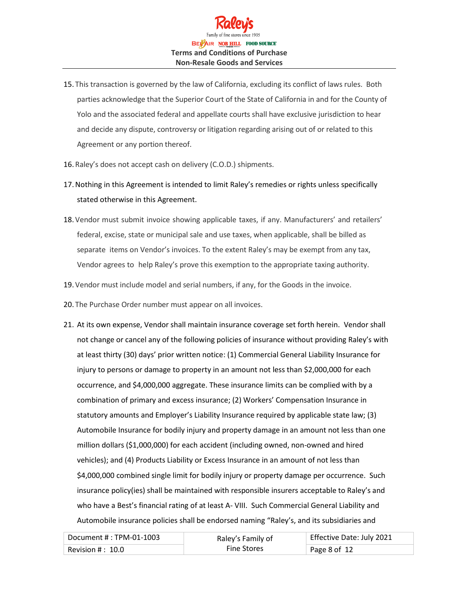

- 15. This transaction is governed by the law of California, excluding its conflict of laws rules. Both parties acknowledge that the Superior Court of the State of California in and for the County of Yolo and the associated federal and appellate courts shall have exclusive jurisdiction to hear and decide any dispute, controversy or litigation regarding arising out of or related to this Agreement or any portion thereof.
- 16. Raley's does not accept cash on delivery (C.O.D.) shipments.
- 17.Nothing in this Agreement is intended to limit Raley's remedies or rights unless specifically stated otherwise in this Agreement.
- 18.Vendor must submit invoice showing applicable taxes, if any. Manufacturers' and retailers' federal, excise, state or municipal sale and use taxes, when applicable, shall be billed as separate items on Vendor's invoices. To the extent Raley's may be exempt from any tax, Vendor agrees to help Raley's prove this exemption to the appropriate taxing authority.
- 19.Vendor must include model and serial numbers, if any, for the Goods in the invoice.
- 20. The Purchase Order number must appear on all invoices.
- 21. At its own expense, Vendor shall maintain insurance coverage set forth herein. Vendor shall not change or cancel any of the following policies of insurance without providing Raley's with at least thirty (30) days' prior written notice: (1) Commercial General Liability Insurance for injury to persons or damage to property in an amount not less than \$2,000,000 for each occurrence, and \$4,000,000 aggregate. These insurance limits can be complied with by a combination of primary and excess insurance; (2) Workers' Compensation Insurance in statutory amounts and Employer's Liability Insurance required by applicable state law; (3) Automobile Insurance for bodily injury and property damage in an amount not less than one million dollars (\$1,000,000) for each accident (including owned, non-owned and hired vehicles); and (4) Products Liability or Excess Insurance in an amount of not less than \$4,000,000 combined single limit for bodily injury or property damage per occurrence. Such insurance policy(ies) shall be maintained with responsible insurers acceptable to Raley's and who have a Best's financial rating of at least A- VIII. Such Commercial General Liability and Automobile insurance policies shall be endorsed naming "Raley's, and its subsidiaries and

| Document # : TPM-01-1003 | Raley's Family of  | Effective Date: July 2021 |
|--------------------------|--------------------|---------------------------|
| Revision # :  10.0       | <b>Fine Stores</b> | Page 8 of 12              |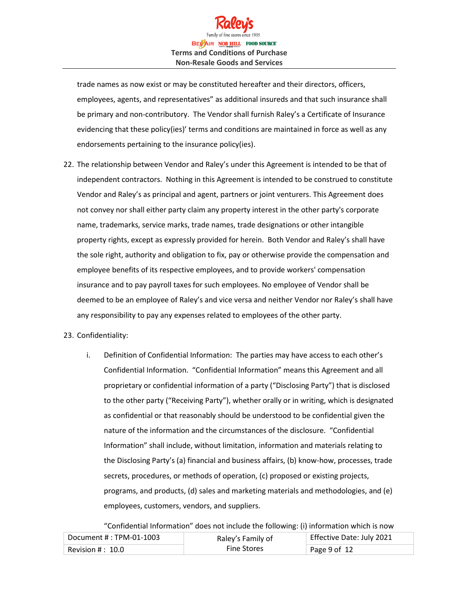

trade names as now exist or may be constituted hereafter and their directors, officers, employees, agents, and representatives" as additional insureds and that such insurance shall be primary and non-contributory. The Vendor shall furnish Raley's a Certificate of Insurance evidencing that these policy(ies)' terms and conditions are maintained in force as well as any endorsements pertaining to the insurance policy(ies).

22. The relationship between Vendor and Raley's under this Agreement is intended to be that of independent contractors. Nothing in this Agreement is intended to be construed to constitute Vendor and Raley's as principal and agent, partners or joint venturers. This Agreement does not convey nor shall either party claim any property interest in the other party's corporate name, trademarks, service marks, trade names, trade designations or other intangible property rights, except as expressly provided for herein. Both Vendor and Raley's shall have the sole right, authority and obligation to fix, pay or otherwise provide the compensation and employee benefits of its respective employees, and to provide workers' compensation insurance and to pay payroll taxes for such employees. No employee of Vendor shall be deemed to be an employee of Raley's and vice versa and neither Vendor nor Raley's shall have any responsibility to pay any expenses related to employees of the other party.

### 23. Confidentiality:

i. Definition of Confidential Information: The parties may have access to each other's Confidential Information. "Confidential Information" means this Agreement and all proprietary or confidential information of a party ("Disclosing Party") that is disclosed to the other party ("Receiving Party"), whether orally or in writing, which is designated as confidential or that reasonably should be understood to be confidential given the nature of the information and the circumstances of the disclosure. "Confidential Information" shall include, without limitation, information and materials relating to the Disclosing Party's (a) financial and business affairs, (b) know-how, processes, trade secrets, procedures, or methods of operation, (c) proposed or existing projects, programs, and products, (d) sales and marketing materials and methodologies, and (e) employees, customers, vendors, and suppliers.

"Confidential Information" does not include the following: (i) information which is now

| Document #: TPM-01-1003 | Raley's Family of  | Effective Date: July 2021 |
|-------------------------|--------------------|---------------------------|
| Revision $\#$ : $~10.0$ | <b>Fine Stores</b> | Page 9 of 12              |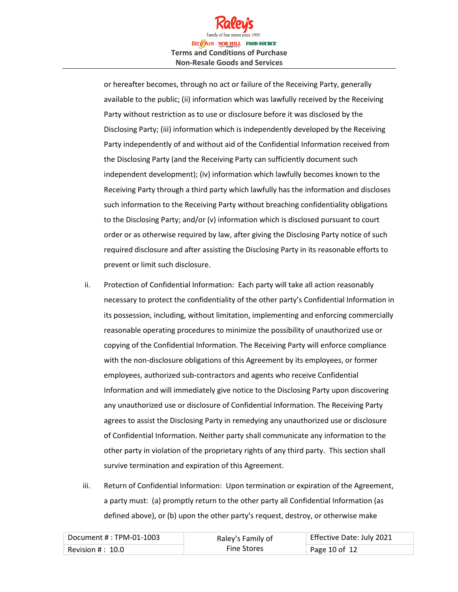

or hereafter becomes, through no act or failure of the Receiving Party, generally available to the public; (ii) information which was lawfully received by the Receiving Party without restriction as to use or disclosure before it was disclosed by the Disclosing Party; (iii) information which is independently developed by the Receiving Party independently of and without aid of the Confidential Information received from the Disclosing Party (and the Receiving Party can sufficiently document such independent development); (iv) information which lawfully becomes known to the Receiving Party through a third party which lawfully has the information and discloses such information to the Receiving Party without breaching confidentiality obligations to the Disclosing Party; and/or (v) information which is disclosed pursuant to court order or as otherwise required by law, after giving the Disclosing Party notice of such required disclosure and after assisting the Disclosing Party in its reasonable efforts to prevent or limit such disclosure.

- ii. Protection of Confidential Information: Each party will take all action reasonably necessary to protect the confidentiality of the other party's Confidential Information in its possession, including, without limitation, implementing and enforcing commercially reasonable operating procedures to minimize the possibility of unauthorized use or copying of the Confidential Information. The Receiving Party will enforce compliance with the non-disclosure obligations of this Agreement by its employees, or former employees, authorized sub-contractors and agents who receive Confidential Information and will immediately give notice to the Disclosing Party upon discovering any unauthorized use or disclosure of Confidential Information. The Receiving Party agrees to assist the Disclosing Party in remedying any unauthorized use or disclosure of Confidential Information. Neither party shall communicate any information to the other party in violation of the proprietary rights of any third party. This section shall survive termination and expiration of this Agreement.
- iii. Return of Confidential Information: Upon termination or expiration of the Agreement, a party must: (a) promptly return to the other party all Confidential Information (as defined above), or (b) upon the other party's request, destroy, or otherwise make

| Document # : TPM-01-1003 | Raley's Family of  | Effective Date: July 2021 |
|--------------------------|--------------------|---------------------------|
| Revision $\#$ : $~10.0$  | <b>Fine Stores</b> | Page 10 of 12             |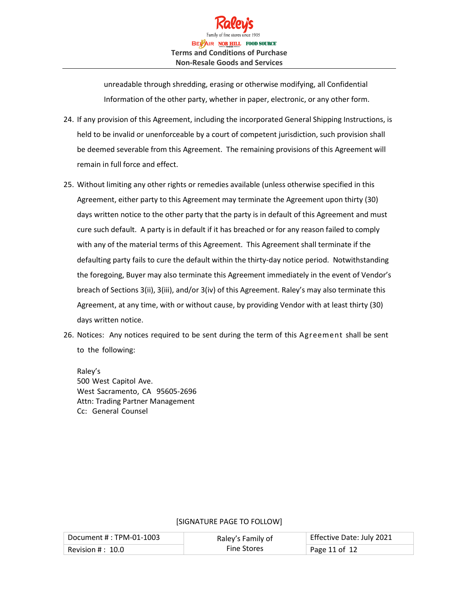

unreadable through shredding, erasing or otherwise modifying, all Confidential Information of the other party, whether in paper, electronic, or any other form.

- 24. If any provision of this Agreement, including the incorporated General Shipping Instructions, is held to be invalid or unenforceable by a court of competent jurisdiction, such provision shall be deemed severable from this Agreement. The remaining provisions of this Agreement will remain in full force and effect.
- 25. Without limiting any other rights or remedies available (unless otherwise specified in this Agreement, either party to this Agreement may terminate the Agreement upon thirty (30) days written notice to the other party that the party is in default of this Agreement and must cure such default. A party is in default if it has breached or for any reason failed to comply with any of the material terms of this Agreement. This Agreement shall terminate if the defaulting party fails to cure the default within the thirty-day notice period. Notwithstanding the foregoing, Buyer may also terminate this Agreement immediately in the event of Vendor's breach of Sections 3(ii), 3(iii), and/or 3(iv) of this Agreement. Raley's may also terminate this Agreement, at any time, with or without cause, by providing Vendor with at least thirty (30) days written notice.
- 26. Notices: Any notices required to be sent during the term of this Agreement shall be sent to the following:

Raley's 500 West Capitol Ave. West Sacramento, CA 95605-2696 Attn: Trading Partner Management Cc: General Counsel

#### Document #: TPM-01-1003 Raley's Family of Fine Stores Effective Date: July 2021 Revision # : 10.0 Page 11 of 12

## [SIGNATURE PAGE TO FOLLOW]